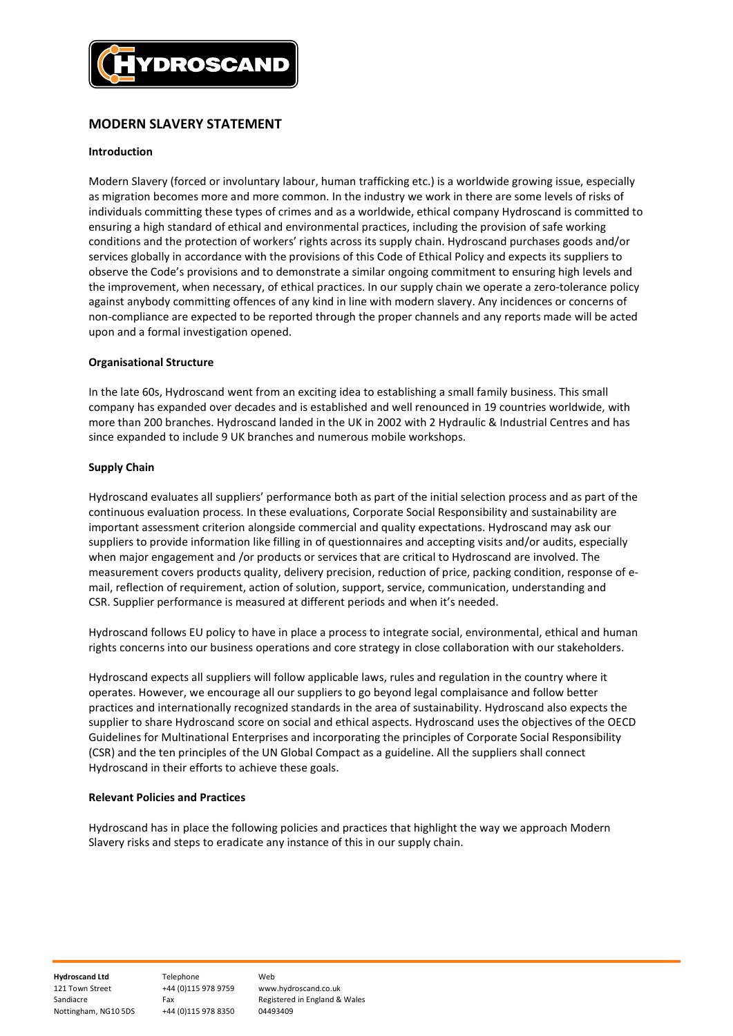

# MODERN SLAVERY STATEMENT

# Introduction

Modern Slavery (forced or involuntary labour, human trafficking etc.) is a worldwide growing issue, especially as migration becomes more and more common. In the industry we work in there are some levels of risks of individuals committing these types of crimes and as a worldwide, ethical company Hydroscand is committed to ensuring a high standard of ethical and environmental practices, including the provision of safe working conditions and the protection of workers' rights across its supply chain. Hydroscand purchases goods and/or services globally in accordance with the provisions of this Code of Ethical Policy and expects its suppliers to observe the Code's provisions and to demonstrate a similar ongoing commitment to ensuring high levels and the improvement, when necessary, of ethical practices. In our supply chain we operate a zero-tolerance policy against anybody committing offences of any kind in line with modern slavery. Any incidences or concerns of non-compliance are expected to be reported through the proper channels and any reports made will be acted upon and a formal investigation opened.

# Organisational Structure

In the late 60s, Hydroscand went from an exciting idea to establishing a small family business. This small company has expanded over decades and is established and well renounced in 19 countries worldwide, with more than 200 branches. Hydroscand landed in the UK in 2002 with 2 Hydraulic & Industrial Centres and has since expanded to include 9 UK branches and numerous mobile workshops.

# Supply Chain

Hydroscand evaluates all suppliers' performance both as part of the initial selection process and as part of the continuous evaluation process. In these evaluations, Corporate Social Responsibility and sustainability are important assessment criterion alongside commercial and quality expectations. Hydroscand may ask our suppliers to provide information like filling in of questionnaires and accepting visits and/or audits, especially when major engagement and /or products or services that are critical to Hydroscand are involved. The measurement covers products quality, delivery precision, reduction of price, packing condition, response of email, reflection of requirement, action of solution, support, service, communication, understanding and CSR. Supplier performance is measured at different periods and when it's needed.

Hydroscand follows EU policy to have in place a process to integrate social, environmental, ethical and human rights concerns into our business operations and core strategy in close collaboration with our stakeholders.

Hydroscand expects all suppliers will follow applicable laws, rules and regulation in the country where it operates. However, we encourage all our suppliers to go beyond legal complaisance and follow better practices and internationally recognized standards in the area of sustainability. Hydroscand also expects the supplier to share Hydroscand score on social and ethical aspects. Hydroscand uses the objectives of the OECD Guidelines for Multinational Enterprises and incorporating the principles of Corporate Social Responsibility (CSR) and the ten principles of the UN Global Compact as a guideline. All the suppliers shall connect Hydroscand in their efforts to achieve these goals.

#### Relevant Policies and Practices

Hydroscand has in place the following policies and practices that highlight the way we approach Modern Slavery risks and steps to eradicate any instance of this in our supply chain.

Hydroscand Ltd Telephone Web 121 Town Street +44 (0)115 978 9759 www.hydroscand.co.uk Nottingham, NG10 5DS +44 (0)115 978 8350

Sandiacre Fax Fax Registered in England & Wales<br>Nottingham. NG10 5DS +44 (0)115 978 8350 04493409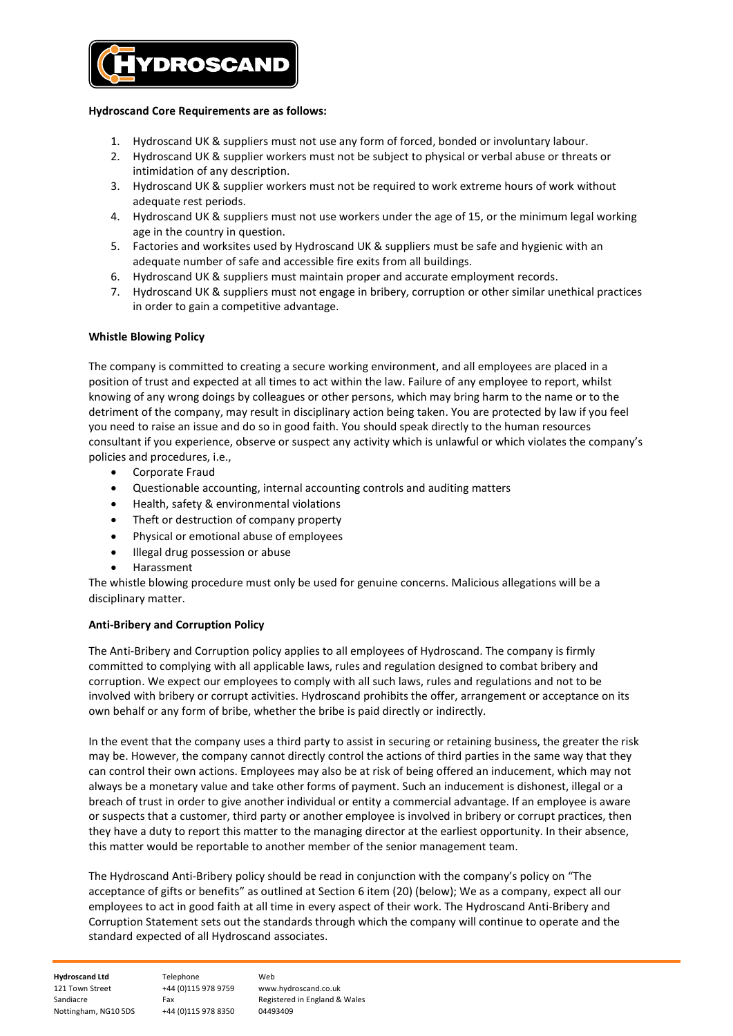

# Hydroscand Core Requirements are as follows:

- 1. Hydroscand UK & suppliers must not use any form of forced, bonded or involuntary labour.
- 2. Hydroscand UK & supplier workers must not be subject to physical or verbal abuse or threats or intimidation of any description.
- 3. Hydroscand UK & supplier workers must not be required to work extreme hours of work without adequate rest periods.
- 4. Hydroscand UK & suppliers must not use workers under the age of 15, or the minimum legal working age in the country in question.
- 5. Factories and worksites used by Hydroscand UK & suppliers must be safe and hygienic with an adequate number of safe and accessible fire exits from all buildings.
- 6. Hydroscand UK & suppliers must maintain proper and accurate employment records.
- 7. Hydroscand UK & suppliers must not engage in bribery, corruption or other similar unethical practices in order to gain a competitive advantage.

# Whistle Blowing Policy

The company is committed to creating a secure working environment, and all employees are placed in a position of trust and expected at all times to act within the law. Failure of any employee to report, whilst knowing of any wrong doings by colleagues or other persons, which may bring harm to the name or to the detriment of the company, may result in disciplinary action being taken. You are protected by law if you feel you need to raise an issue and do so in good faith. You should speak directly to the human resources consultant if you experience, observe or suspect any activity which is unlawful or which violates the company's policies and procedures, i.e.,

- Corporate Fraud
- Questionable accounting, internal accounting controls and auditing matters
- Health, safety & environmental violations
- Theft or destruction of company property
- Physical or emotional abuse of employees
- Illegal drug possession or abuse
- Harassment

The whistle blowing procedure must only be used for genuine concerns. Malicious allegations will be a disciplinary matter.

#### Anti-Bribery and Corruption Policy

The Anti-Bribery and Corruption policy applies to all employees of Hydroscand. The company is firmly committed to complying with all applicable laws, rules and regulation designed to combat bribery and corruption. We expect our employees to comply with all such laws, rules and regulations and not to be involved with bribery or corrupt activities. Hydroscand prohibits the offer, arrangement or acceptance on its own behalf or any form of bribe, whether the bribe is paid directly or indirectly.

In the event that the company uses a third party to assist in securing or retaining business, the greater the risk may be. However, the company cannot directly control the actions of third parties in the same way that they can control their own actions. Employees may also be at risk of being offered an inducement, which may not always be a monetary value and take other forms of payment. Such an inducement is dishonest, illegal or a breach of trust in order to give another individual or entity a commercial advantage. If an employee is aware or suspects that a customer, third party or another employee is involved in bribery or corrupt practices, then they have a duty to report this matter to the managing director at the earliest opportunity. In their absence, this matter would be reportable to another member of the senior management team.

The Hydroscand Anti-Bribery policy should be read in conjunction with the company's policy on "The acceptance of gifts or benefits" as outlined at Section 6 item (20) (below); We as a company, expect all our employees to act in good faith at all time in every aspect of their work. The Hydroscand Anti-Bribery and Corruption Statement sets out the standards through which the company will continue to operate and the standard expected of all Hydroscand associates.

| <b>Hydroscand Ltd</b> | Telephone           | Web                           |
|-----------------------|---------------------|-------------------------------|
| 121 Town Street       | +44 (0)115 978 9759 | www.hydroscand.co.uk          |
| Sandiacre             | Fax                 | Registered in England & Wales |
| Nottingham, NG10 5DS  | +44 (0)115 978 8350 | 04493409                      |